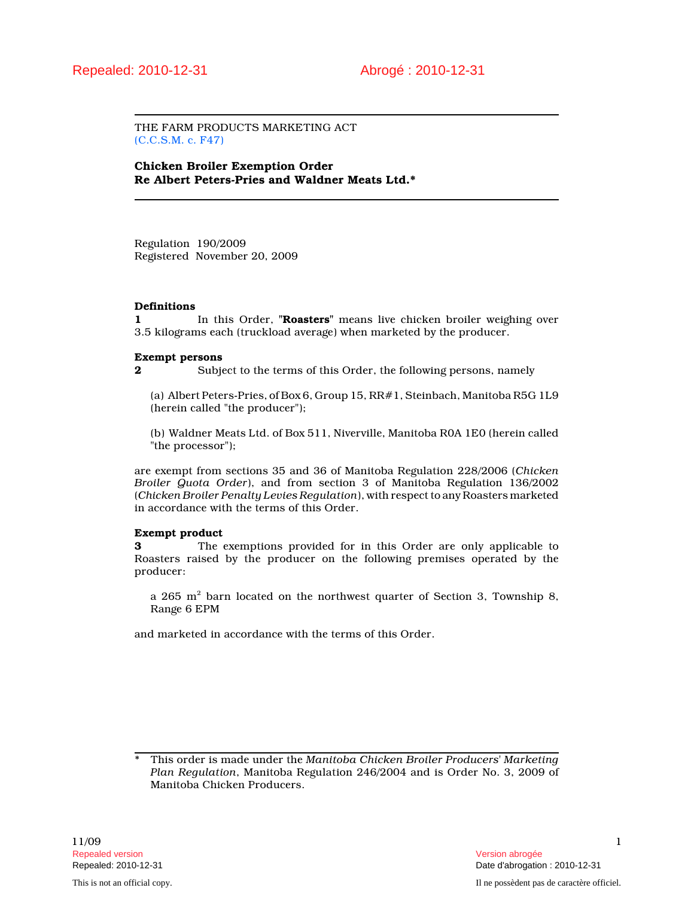THE FARM PRODUCTS MARKETING ACT (C.C.S.M. c. F47)

Chicken Broiler Exemption Order Re Albert Peters-Pries and Waldner Meats Ltd.\*

Regulation 190/2009 Registered November 20, 2009

#### Definitions

1 In this Order, "Roasters" means live chicken broiler weighing over 3.5 kilograms each (truckload average) when marketed by the producer.

#### Exempt persons

2 Subject to the terms of this Order, the following persons, namely

(a) Albert Peters-Pries, of Box 6, Group 15, RR#1, Steinbach, Manitoba R5G 1L9 (herein called "the producer");

(b) Waldner Meats Ltd. of Box 511, Niverville, Manitoba R0A 1E0 (herein called "the processor");

are exempt from sections 35 and 36 of Manitoba Regulation 228/2006 (Chicken Broiler Quota Order), and from section 3 of Manitoba Regulation 136/2002 (Chicken Broiler Penalty Levies Regulation), with respect to any Roasters marketed in accordance with the terms of this Order.

### Exempt product

3 The exemptions provided for in this Order are only applicable to Roasters raised by the producer on the following premises operated by the producer:

a 265  $\mathrm{m}^2$  barn located on the northwest quarter of Section 3, Township 8, Range 6 EPM

and marketed in accordance with the terms of this Order.

This order is made under the Manitoba Chicken Broiler Producers' Marketing Plan Regulation, Manitoba Regulation 246/2004 and is Order No. 3, 2009 of Manitoba Chicken Producers.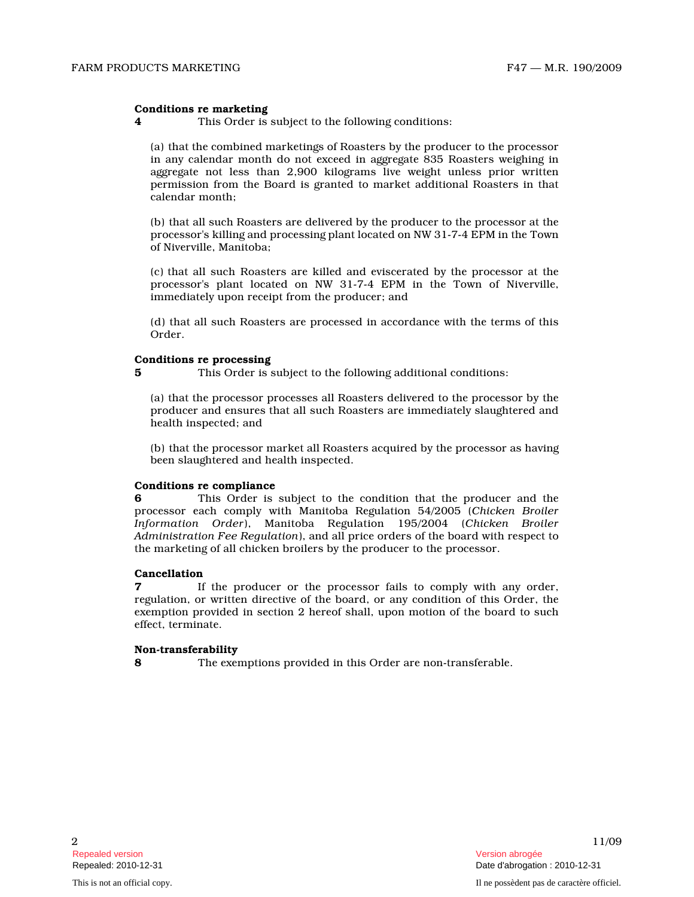### Conditions re marketing

4 This Order is subject to the following conditions:

(a) that the combined marketings of Roasters by the producer to the processor in any calendar month do not exceed in aggregate 835 Roasters weighing in aggregate not less than 2,900 kilograms live weight unless prior written permission from the Board is granted to market additional Roasters in that calendar month;

(b) that all such Roasters are delivered by the producer to the processor at the processor's killing and processing plant located on NW 31-7-4 EPM in the Town of Niverville, Manitoba;

(c) that all such Roasters are killed and eviscerated by the processor at the processor's plant located on NW 31-7-4 EPM in the Town of Niverville, immediately upon receipt from the producer; and

(d) that all such Roasters are processed in accordance with the terms of this Order.

# Conditions re processing

5 This Order is subject to the following additional conditions:

(a) that the processor processes all Roasters delivered to the processor by the producer and ensures that all such Roasters are immediately slaughtered and health inspected; and

(b) that the processor market all Roasters acquired by the processor as having been slaughtered and health inspected.

# Conditions re compliance

6 This Order is subject to the condition that the producer and the processor each comply with Manitoba Regulation 54/2005 (Chicken Broiler Information Order), Manitoba Regulation 195/2004 (Chicken Broiler Administration Fee Regulation), and all price orders of the board with respect t o the marketing of all chicken broilers by the producer to the processor.

### Cancellation

If the producer or the processor fails to comply with any order, regulation, or written directive of the board, or any condition of this Order, the exemption provided in section 2 hereof shall, upon motion of the board to such effect, terminate.

### Non-transferability

8 The exemptions provided in this Order are non-transferable.